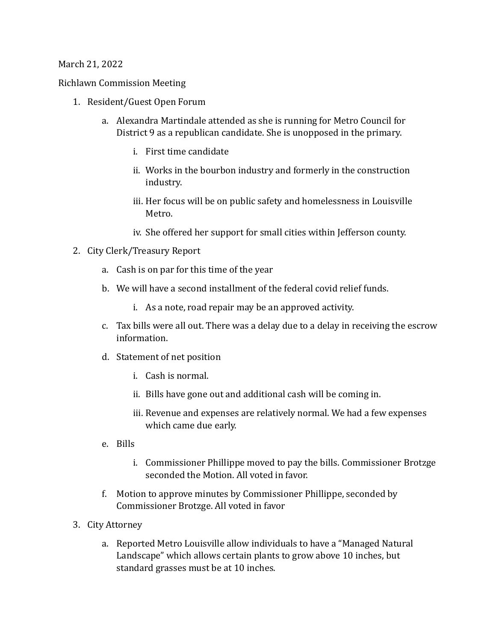## March 21, 2022

Richlawn Commission Meeting 

- 1. Resident/Guest Open Forum
	- a. Alexandra Martindale attended as she is running for Metro Council for District 9 as a republican candidate. She is unopposed in the primary.
		- i. First time candidate
		- ii. Works in the bourbon industry and formerly in the construction industry.
		- iii. Her focus will be on public safety and homelessness in Louisville Metro.
		- iv. She offered her support for small cities within Jefferson county.
- 2. City Clerk/Treasury Report
	- a. Cash is on par for this time of the year
	- b. We will have a second installment of the federal covid relief funds.
		- i. As a note, road repair may be an approved activity.
	- c. Tax bills were all out. There was a delay due to a delay in receiving the escrow information.
	- d. Statement of net position
		- i. Cash is normal.
		- ii. Bills have gone out and additional cash will be coming in.
		- iii. Revenue and expenses are relatively normal. We had a few expenses which came due early.
	- e. Bills
		- i. Commissioner Phillippe moved to pay the bills. Commissioner Brotzge seconded the Motion. All voted in favor.
	- f. Motion to approve minutes by Commissioner Phillippe, seconded by Commissioner Brotzge. All voted in favor
- 3. City Attorney
	- a. Reported Metro Louisville allow individuals to have a "Managed Natural Landscape" which allows certain plants to grow above 10 inches, but standard grasses must be at 10 inches.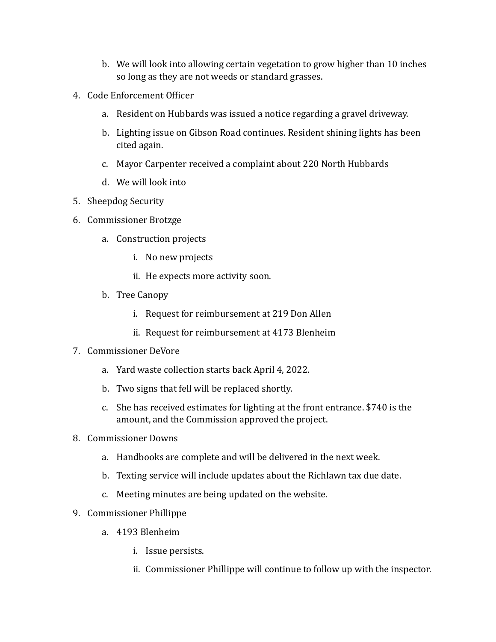- b. We will look into allowing certain vegetation to grow higher than 10 inches so long as they are not weeds or standard grasses.
- 4. Code Enforcement Officer
	- a. Resident on Hubbards was issued a notice regarding a gravel driveway.
	- b. Lighting issue on Gibson Road continues. Resident shining lights has been cited again.
	- c. Mayor Carpenter received a complaint about 220 North Hubbards
	- d. We will look into
- 5. Sheepdog Security
- 6. Commissioner Brotzge
	- a. Construction projects
		- i. No new projects
		- ii. He expects more activity soon.
	- b. Tree Canopy
		- i. Request for reimbursement at 219 Don Allen
		- ii. Request for reimbursement at 4173 Blenheim
- 7. Commissioner DeVore
	- a. Yard waste collection starts back April 4, 2022.
	- b. Two signs that fell will be replaced shortly.
	- c. She has received estimates for lighting at the front entrance. \$740 is the amount, and the Commission approved the project.
- 8. Commissioner Downs
	- a. Handbooks are complete and will be delivered in the next week.
	- b. Texting service will include updates about the Richlawn tax due date.
	- c. Meeting minutes are being updated on the website.
- 9. Commissioner Phillippe
	- a. 4193 Blenheim
		- i. Issue persists.
		- ii. Commissioner Phillippe will continue to follow up with the inspector.